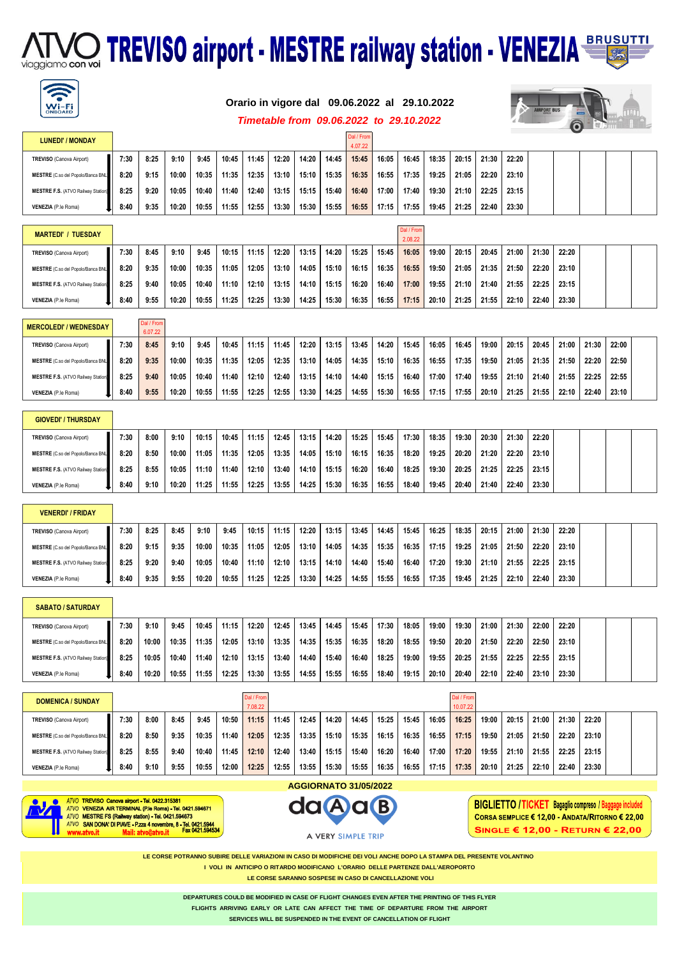# **ATMO TREVISO airport - MESTRE railway station - VENEZIA** BRUSUTTI



#### **Orario in vigore dal 09.06.2022 al 29.10.2022**



#### *Timetable from 09.06.2022 to 29.10.2022*

| <b>LUNEDI' / MONDAY</b>                   |      |      |       |       |       |       |       |       |       | Dal / From<br>4.07.22 |       |       |       |       |       |       |  |  |  |
|-------------------------------------------|------|------|-------|-------|-------|-------|-------|-------|-------|-----------------------|-------|-------|-------|-------|-------|-------|--|--|--|
| TREVISO (Canova Airport)                  | 7:30 | 8:25 | 9:10  | 9:45  | 10:45 | 11:45 | 12:20 | 14:20 | 14:45 | 15:45                 | 16:05 | 16:45 | 18:35 | 20:15 | 21:30 | 22:20 |  |  |  |
| MESTRE (C.so del Popolo/Banca BNL)        | 8:20 | 9:15 | 10:00 | 10:35 | 11:35 | 12:35 | 13:10 | 15:10 | 15:35 | 16:35                 | 16:55 | 17:35 | 19:25 | 21:05 | 22:20 | 23:10 |  |  |  |
| <b>MESTRE F.S.</b> (ATVO Railway Station) | 8:25 | 9:20 | 10:05 | 10:40 | 11:40 | 12:40 | 13:15 | 15:15 | 15:40 | 16:40                 | 17:00 | 17:40 | 19:30 | 21:10 | 22:25 | 23:15 |  |  |  |
| VENEZIA (P.le Roma)                       | 8:40 | 9:35 | 10:20 | 10:55 | 11:55 | 12:55 | 13:30 | 15:30 | 15:55 | 16:55                 | 17:15 | 17:55 | 19:45 | 21:25 | 22:40 | 23:30 |  |  |  |

| <b>MARTEDI' / TUESDAY</b>                 |      |      |       |       |       |       |       |       |       |       |       | Dal / From<br>2.08.22 |       |       |       |       |       |       |  |  |
|-------------------------------------------|------|------|-------|-------|-------|-------|-------|-------|-------|-------|-------|-----------------------|-------|-------|-------|-------|-------|-------|--|--|
| TREVISO (Canova Airport)                  | 7:30 | 8:45 | 9:10  | 9:45  | 10:15 | 11:15 | 12:20 | 13:15 | 14:20 | 15:25 | 15:45 | 16:05                 | 19:00 | 20:15 | 20:45 | 21:00 | 21:30 | 22:20 |  |  |
| MESTRE (C.so del Popolo/Banca BNL         | 8:20 | 9:35 | 10:00 | 10:35 | 11:05 | 12:05 | 13:10 | 14:05 | 15:10 | 16:15 | 16:35 | 16:55                 | 19:50 | 21:05 | 21:35 | 21:50 | 22:20 | 23:10 |  |  |
| <b>MESTRE F.S.</b> (ATVO Railway Station) | 8:25 | 9:40 | 10:05 | 10:40 | 11:10 | 12:10 | 13:15 | 14:10 | 15:15 | 16:20 | 16:40 | 17:00                 | 19:55 | 21:10 | 21:40 | 21:55 | 22:25 | 23:15 |  |  |
| VENEZIA (P.le Roma)                       | 8:40 | 9:55 | 10:20 | 10:55 | 11:25 | 12:25 | 13:30 | 14:25 | 15:30 | 16:35 | 16:55 | 17:15                 | 20:10 | 21:25 | 21:55 | 22:10 | 22:40 | 23:30 |  |  |

#### Dal / From 6.07.22 **MERCOLEDI' / WEDNESDAY**

|                                           |      | .    |       |       |       |       |       |       |       |       |       |       |       |       |       |       |       |       |       |       |  |
|-------------------------------------------|------|------|-------|-------|-------|-------|-------|-------|-------|-------|-------|-------|-------|-------|-------|-------|-------|-------|-------|-------|--|
| TREVISO (Canova Airport)                  | 7:30 | 8:45 | 9:10  | 9:45  | 10:45 | 11:15 | 11:45 | 12:20 | 13:15 | 13:45 | 14:20 | 15:45 | 16:05 | 16:45 | 19:00 | 20:15 | 20:45 | 21:00 | 21:30 | 22:00 |  |
| MESTRE (C.so del Popolo/Banca BNL         | 8:20 | 9:35 | 10:00 | 10:35 | 11:35 | 12:05 | 12:35 | 13:10 | 14:05 | 14:35 | 15:10 | 16:35 | 16:55 | 17:35 | 19:50 | 21:05 | 21:35 | 21:50 | 22:20 | 22:50 |  |
| <b>MESTRE F.S. (ATVO Railway Station)</b> | 8:25 | 9:40 | 10:05 | 10:40 | 11:40 | 12:10 | 12:40 | 13:15 | 14:10 | 14:40 | 15:15 | 16:40 | 17:00 | 17:40 | 19:55 | 21:10 | 21:40 | 21:55 | 22:25 | 22:55 |  |
| VENEZIA (P.le Roma)                       | 8:40 | 9:55 | 10:20 | 10:55 | 11:55 | 12:25 | 12:55 | 13:30 | 14:25 | 14:55 | 15:30 | 16:55 | 17:15 | 17:55 | 20:10 | 21:25 | 21:55 | 22:10 | 22:40 | 23:10 |  |

| MESTRE (C.so del Popolo/Banca BNL         | 8:20 | 8:50 | 10:00 | 11:05 | 11:35 | 12:05 | 13:35 | 14:05 | 15:10 | 16:15 | 16:35 | 18:20 | 19:25 | 20:20 | 21:20 | 22:20 | 23:10 |  |  |
|-------------------------------------------|------|------|-------|-------|-------|-------|-------|-------|-------|-------|-------|-------|-------|-------|-------|-------|-------|--|--|
| <b>MESTRE F.S.</b> (ATVO Railway Station) | 8:25 | 8:55 | 10:05 | 11:10 | 11:40 | 12:10 | 13:40 | 14:10 | 15:15 | 16:20 | 16:40 | 18:25 | 19:30 | 20:25 | 21:25 | 22:25 | 23:15 |  |  |
| VENEZIA (P.le Roma)                       | 8:40 | 9:10 | 10:20 | 11:25 | 11:55 | 12:25 | 13:55 | 14:25 | 15:30 | 16:35 | 16:55 | 18:40 | 19:45 | 20:40 | 21:40 | 22:40 | 23:30 |  |  |

TREVISO (Canova Airport) | 7:30 8:00 9:10 10:15 10:45 11:15 12:45 13:15 14:20 15:25 15:45 17:30 18:35 19:30 20:30 21:30 22:20

#### **VENERDI' / FRIDAY**

**GIOVEDI' / THURSDAY**

| TREVISO (Canova Airport)                  | 7:30 | 8:25 | 8:45 | 9:10  | 9:45  | 10:15 | 11:15 | 12:20 | 13:15 | 13:45 | 14:45 | 15:45 | 16:25 | 18:35 | 20:15 | 21:00 | 21:30 | 22:20 |  |  |
|-------------------------------------------|------|------|------|-------|-------|-------|-------|-------|-------|-------|-------|-------|-------|-------|-------|-------|-------|-------|--|--|
| MESTRE (C.so del Popolo/Banca BNL         | 8:20 | 9:15 | 9:35 | 10:00 | 10:35 | 11:05 | 12:05 | 13:10 | 14:05 | 14:35 | 15:35 | 16:35 | 17:15 | 19:25 | 21:05 | 21:50 | 22:20 | 23:10 |  |  |
| <b>MESTRE F.S.</b> (ATVO Railway Station) | 8:25 | 9:20 | 9:40 | 10:05 | 10:40 | 11:10 | 12:10 | 13:15 | 14:10 | 14:40 | 15:40 | 16:40 | 17:20 | 19:30 | 21:10 | 21:55 | 22:25 | 23:15 |  |  |
| VENEZIA (P.le Roma)                       | 8:40 | 9:35 | 9:55 | 10:20 | 10:55 | 11:25 | 12:25 | 13:30 | 14:25 | 14:55 | 15:55 | 16:55 | 17:35 | 19:45 | 21:25 | 22:10 | 22:40 | 23:30 |  |  |

| <b>SABATO / SATURDAY</b>                  |      |       |       |       |       |       |       |       |       |       |       |       |       |       |       |       |       |       |  |  |
|-------------------------------------------|------|-------|-------|-------|-------|-------|-------|-------|-------|-------|-------|-------|-------|-------|-------|-------|-------|-------|--|--|
| TREVISO (Canova Airport)                  | 7:30 | 9:10  | 9:45  | 10:45 | 11:15 | 12:20 | 12:45 | 13:45 | 14:45 | 15:45 | 17:30 | 18:05 | 19:00 | 19:30 | 21:00 | 21:30 | 22:00 | 22:20 |  |  |
| MESTRE (C.so del Popolo/Banca BNL)        | 8:20 | 10:00 | 10:35 | 11:35 | 12:05 | 13:10 | 13:35 | 14:35 | 15:35 | 16:35 | 18:20 | 18:55 | 19:50 | 20:20 | 21:50 | 22:20 | 22:50 | 23:10 |  |  |
| <b>MESTRE F.S. (ATVO Railway Station)</b> | 8:25 | 10:05 | 10:40 | 11:40 | 12:10 | 13:15 | 13:40 | 14:40 | 15:40 | 16:40 | 18:25 | 19:00 | 19:55 | 20:25 | 21:55 | 22:25 | 22:55 | 23:15 |  |  |
| VENEZIA (P.le Roma)                       | 8:40 | 10:20 | 10:55 | 11:55 | 12:25 | 13:30 | 13:55 | 14:55 | 15:55 | 16:55 | 18:40 | 19:15 | 20:10 | 20:40 | 22:10 | 22:40 | 23:10 | 23:30 |  |  |

| <b>DOMENICA / SUNDAY</b>                  |      |      |      |       |       | Dal / From<br>7.08.22 |       |       |       |       |       |       |       | Dal / From<br>10.07.22 |       |       |       |       |       |  |
|-------------------------------------------|------|------|------|-------|-------|-----------------------|-------|-------|-------|-------|-------|-------|-------|------------------------|-------|-------|-------|-------|-------|--|
| TREVISO (Canova Airport)                  | 7:30 | 8:00 | 8:45 | 9:45  | 10:50 | 11:15                 | 11:45 | 12:45 | 14:20 | 14:45 | 15:25 | 15:45 | 16:05 | 16:25                  | 19:00 | 20:15 | 21:00 | 21:30 | 22:20 |  |
| MESTRE (C.so del Popolo/Banca BNL)        | 8:20 | 8:50 | 9:35 | 10:35 | 11:40 | 12:05                 | 12:35 | 13:35 | 15:10 | 15:35 | 16:15 | 16:35 | 16:55 | 17:15                  | 19:50 | 21:05 | 21:50 | 22:20 | 23:10 |  |
| <b>MESTRE F.S. (ATVO Railway Station)</b> | 8:25 | 8:55 | 9:40 | 10:40 | 11:45 | 12:10                 | 12:40 | 13:40 | 15:15 | 15:40 | 16:20 | 16:40 | 17:00 | 17:20                  | 19:55 | 21:10 | 21:55 | 22:25 | 23:15 |  |
| VENEZIA (P.le Roma)                       | 8:40 | 9:10 | 9:55 | 10:55 | 12:00 | 12:25                 | 12:55 | 13:55 | 15:30 | 15:55 | 16:35 | 16:55 | 17:15 | 17:35                  | 20:10 | 21:25 | 22:10 | 22:40 | 23:30 |  |



ATVO TREVISO Canova airport - Tel. 0422.315381<br>ATVO VENEZIA AIR TERMINAL (P.Ie Roma) - Tel. 0421.<br>ATVO MESTRE FS (Railway station) - Tel. 0421.594673 ATVO MESTRE FS (Railway station) - Tel. 0421.594673<br>ATVO SAN DONA' DI PIAVE - P.zza 4 novembre, 8 - Tel. 0421.5944<br>www.atvo.it Mail: atvo©atvo.it Fax 0421.5945



**BIGLIETTO /TICKET Bagaglio compreso / Baggage included** CORSA SEMPLICE € 12,00 - ANDATA/RITORNO € 22,00 SINGLE € 12,00 - RETURN € 22,00

**LE CORSE POTRANNO SUBIRE DELLE VARIAZIONI IN CASO DI MODIFICHE DEI VOLI ANCHE DOPO LA STAMPA DEL PRESENTE VOLANTINO**

**I VOLI IN ANTICIPO O RITARDO MODIFICANO L'ORARIO DELLE PARTENZE DALL'AEROPORTO** 

 **LE CORSE SARANNO SOSPESE IN CASO DI CANCELLAZIONE VOLI** 

**DEPARTURES COULD BE MODIFIED IN CASE OF FLIGHT CHANGES EVEN AFTER THE PRINTING OF THIS FLYER FLIGHTS ARRIVING EARLY OR LATE CAN AFFECT THE TIME OF DEPARTURE FROM THE AIRPORT SERVICES WILL BE SUSPENDED IN THE EVENT OF CANCELLATION OF FLIGHT**